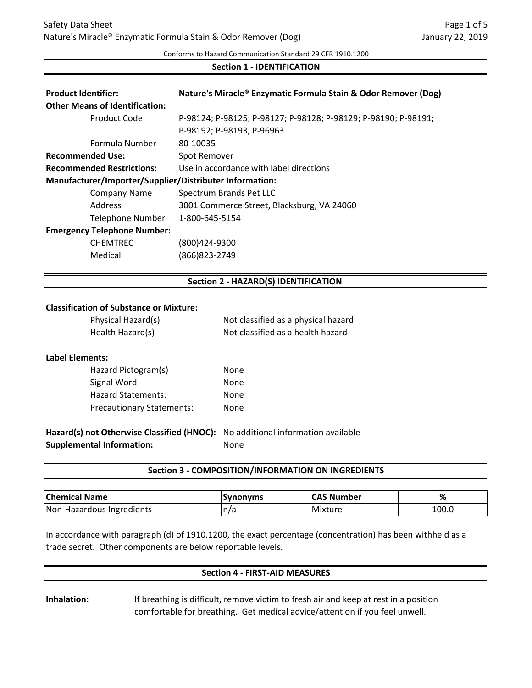Conforms to Hazard Communication Standard 29 CFR 1910.1200

### **Section 1 - IDENTIFICATION**

| <b>Product Identifier:</b>                              | Nature's Miracle® Enzymatic Formula Stain & Odor Remover (Dog) |
|---------------------------------------------------------|----------------------------------------------------------------|
| <b>Other Means of Identification:</b>                   |                                                                |
| Product Code                                            | P-98124; P-98125; P-98127; P-98128; P-98129; P-98190; P-98191; |
|                                                         | P-98192; P-98193, P-96963                                      |
| Formula Number                                          | 80-10035                                                       |
| <b>Recommended Use:</b>                                 | Spot Remover                                                   |
| <b>Recommended Restrictions:</b>                        | Use in accordance with label directions                        |
| Manufacturer/Importer/Supplier/Distributer Information: |                                                                |
| Company Name                                            | Spectrum Brands Pet LLC                                        |
| Address                                                 | 3001 Commerce Street, Blacksburg, VA 24060                     |
| Telephone Number                                        | 1-800-645-5154                                                 |
| <b>Emergency Telephone Number:</b>                      |                                                                |
| <b>CHEMTREC</b>                                         | (800)424-9300                                                  |
| Medical                                                 | (866)823-2749                                                  |
|                                                         |                                                                |
|                                                         | <b>Section 2 - HAZARD(S) IDENTIFICATION</b>                    |
|                                                         |                                                                |

#### **Classification of Substance or Mixture:**

| Physical Hazard(s) | Not classified as a physical hazard |
|--------------------|-------------------------------------|
| Health Hazard(s)   | Not classified as a health hazard   |

#### **Label Elements:**

| Hazard Pictogram(s)              | None |
|----------------------------------|------|
| Signal Word                      | None |
| <b>Hazard Statements:</b>        | None |
| <b>Precautionary Statements:</b> | None |

**Hazard(s) not Otherwise Classified (HNOC):** No additional information available **Supplemental Information:** None

### **Section 3 - COMPOSITION/INFORMATION ON INGREDIENTS**

| <b>Chemical Name</b>      | ISvnonvms | <b>CAS Number</b> | 70    |
|---------------------------|-----------|-------------------|-------|
| Non-Hazardous Ingredients | 'n/a      | Mixture           | 100.0 |

In accordance with paragraph (d) of 1910.1200, the exact percentage (concentration) has been withheld as a trade secret. Other components are below reportable levels.

## **Section 4 - FIRST-AID MEASURES**

**Inhalation:** If breathing is difficult, remove victim to fresh air and keep at rest in a position comfortable for breathing. Get medical advice/attention if you feel unwell.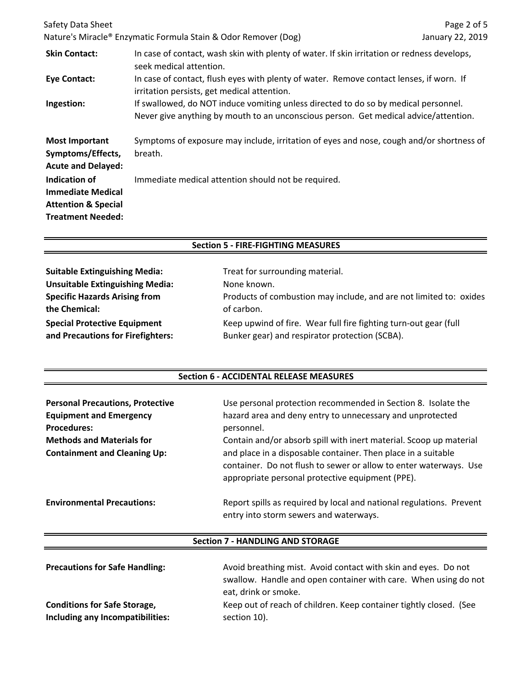| Safety Data Sheet                                                                                       |                                                                                                                                                                             | Page 2 of 5      |
|---------------------------------------------------------------------------------------------------------|-----------------------------------------------------------------------------------------------------------------------------------------------------------------------------|------------------|
|                                                                                                         | Nature's Miracle® Enzymatic Formula Stain & Odor Remover (Dog)                                                                                                              | January 22, 2019 |
| <b>Skin Contact:</b>                                                                                    | In case of contact, wash skin with plenty of water. If skin irritation or redness develops,<br>seek medical attention.                                                      |                  |
| <b>Eye Contact:</b>                                                                                     | In case of contact, flush eyes with plenty of water. Remove contact lenses, if worn. If<br>irritation persists, get medical attention.                                      |                  |
| Ingestion:                                                                                              | If swallowed, do NOT induce vomiting unless directed to do so by medical personnel.<br>Never give anything by mouth to an unconscious person. Get medical advice/attention. |                  |
| <b>Most Important</b><br>Symptoms/Effects,<br><b>Acute and Delayed:</b>                                 | Symptoms of exposure may include, irritation of eyes and nose, cough and/or shortness of<br>breath.                                                                         |                  |
| Indication of<br><b>Immediate Medical</b><br><b>Attention &amp; Special</b><br><b>Treatment Needed:</b> | Immediate medical attention should not be required.                                                                                                                         |                  |

## **Section 5 - FIRE-FIGHTING MEASURES**

| <b>Suitable Extinguishing Media:</b>   | Treat for surrounding material.                                    |
|----------------------------------------|--------------------------------------------------------------------|
| <b>Unsuitable Extinguishing Media:</b> | None known.                                                        |
| <b>Specific Hazards Arising from</b>   | Products of combustion may include, and are not limited to: oxides |
| the Chemical:                          | of carbon.                                                         |
| <b>Special Protective Equipment</b>    | Keep upwind of fire. Wear full fire fighting turn-out gear (full   |
| and Precautions for Firefighters:      | Bunker gear) and respirator protection (SCBA).                     |

## **Section 6 - ACCIDENTAL RELEASE MEASURES**

| <b>Personal Precautions, Protective</b><br><b>Equipment and Emergency</b><br><b>Procedures:</b><br><b>Methods and Materials for</b><br><b>Containment and Cleaning Up:</b> | Use personal protection recommended in Section 8. Isolate the<br>hazard area and deny entry to unnecessary and unprotected<br>personnel.<br>Contain and/or absorb spill with inert material. Scoop up material<br>and place in a disposable container. Then place in a suitable<br>container. Do not flush to sewer or allow to enter waterways. Use<br>appropriate personal protective equipment (PPE). |
|----------------------------------------------------------------------------------------------------------------------------------------------------------------------------|----------------------------------------------------------------------------------------------------------------------------------------------------------------------------------------------------------------------------------------------------------------------------------------------------------------------------------------------------------------------------------------------------------|
| <b>Environmental Precautions:</b>                                                                                                                                          | Report spills as required by local and national regulations. Prevent<br>entry into storm sewers and waterways.                                                                                                                                                                                                                                                                                           |

# **Section 7 - HANDLING AND STORAGE**

| <b>Precautions for Safe Handling:</b> | Avoid breathing mist. Avoid contact with skin and eyes. Do not     |
|---------------------------------------|--------------------------------------------------------------------|
|                                       | swallow. Handle and open container with care. When using do not    |
|                                       | eat, drink or smoke.                                               |
| <b>Conditions for Safe Storage,</b>   | Keep out of reach of children. Keep container tightly closed. (See |
| Including any Incompatibilities:      | section 10).                                                       |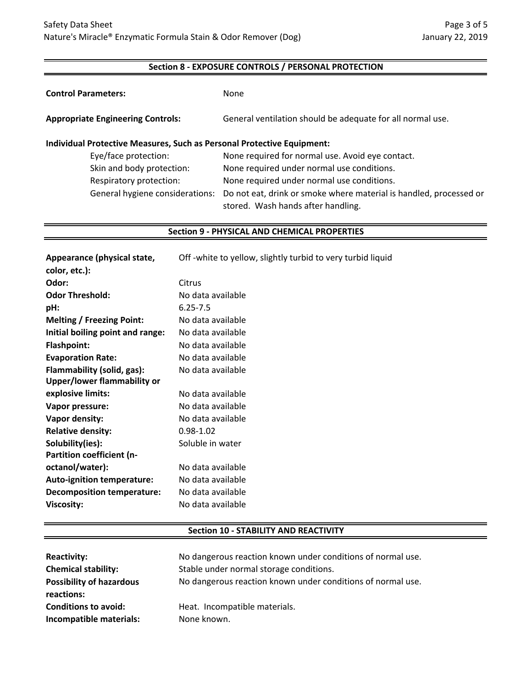## **Section 8 - EXPOSURE CONTROLS / PERSONAL PROTECTION**

| <b>Control Parameters:</b>                                                    | None                                                                                                     |
|-------------------------------------------------------------------------------|----------------------------------------------------------------------------------------------------------|
| <b>Appropriate Engineering Controls:</b>                                      | General ventilation should be adequate for all normal use.                                               |
| <b>Individual Protective Measures, Such as Personal Protective Equipment:</b> |                                                                                                          |
| Eye/face protection:                                                          | None required for normal use. Avoid eye contact.                                                         |
| Skin and body protection:                                                     | None required under normal use conditions.                                                               |
| Respiratory protection:                                                       | None required under normal use conditions.                                                               |
| General hygiene considerations:                                               | Do not eat, drink or smoke where material is handled, processed or<br>stored. Wash hands after handling. |

#### **Section 9 - PHYSICAL AND CHEMICAL PROPERTIES**

| Appearance (physical state,<br>color, etc.): | Off-white to yellow, slightly turbid to very turbid liquid |
|----------------------------------------------|------------------------------------------------------------|
| Odor:                                        | Citrus                                                     |
| <b>Odor Threshold:</b>                       | No data available                                          |
| pH:                                          | $6.25 - 7.5$                                               |
| <b>Melting / Freezing Point:</b>             | No data available                                          |
| Initial boiling point and range:             | No data available                                          |
| <b>Flashpoint:</b>                           | No data available                                          |
| <b>Evaporation Rate:</b>                     | No data available                                          |
| Flammability (solid, gas):                   | No data available                                          |
| Upper/lower flammability or                  |                                                            |
| explosive limits:                            | No data available                                          |
| Vapor pressure:                              | No data available                                          |
| Vapor density:                               | No data available                                          |
| <b>Relative density:</b>                     | $0.98 - 1.02$                                              |
| Solubility(ies):                             | Soluble in water                                           |
| Partition coefficient (n-                    |                                                            |
| octanol/water):                              | No data available                                          |
| <b>Auto-ignition temperature:</b>            | No data available                                          |
| <b>Decomposition temperature:</b>            | No data available                                          |
| <b>Viscosity:</b>                            | No data available                                          |
|                                              |                                                            |

## **Section 10 - STABILITY AND REACTIVITY**

| <b>Reactivity:</b>                            | No dangerous reaction known under conditions of normal use. |
|-----------------------------------------------|-------------------------------------------------------------|
| <b>Chemical stability:</b>                    | Stable under normal storage conditions.                     |
| <b>Possibility of hazardous</b><br>reactions: | No dangerous reaction known under conditions of normal use. |
| <b>Conditions to avoid:</b>                   | Heat. Incompatible materials.                               |
| Incompatible materials:                       | None known.                                                 |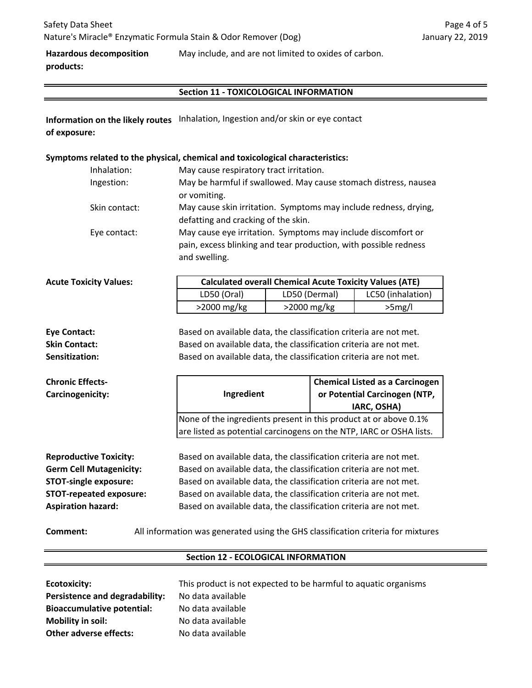**Hazardous decomposition products:** May include, and are not limited to oxides of carbon.

# **Section 11 - TOXICOLOGICAL INFORMATION**

**Information on the likely routes** Inhalation, Ingestion and/or skin or eye contact **of exposure:**

# **Symptoms related to the physical, chemical and toxicological characteristics:**

| Inhalation:   | May cause respiratory tract irritation.                                                                                                           |
|---------------|---------------------------------------------------------------------------------------------------------------------------------------------------|
| Ingestion:    | May be harmful if swallowed. May cause stomach distress, nausea<br>or vomiting.                                                                   |
| Skin contact: | May cause skin irritation. Symptoms may include redness, drying,<br>defatting and cracking of the skin.                                           |
| Eye contact:  | May cause eye irritation. Symptoms may include discomfort or<br>pain, excess blinking and tear production, with possible redness<br>and swelling. |

| <b>Acute Toxicity Values:</b> | <b>Calculated overall Chemical Acute Toxicity Values (ATE)</b> |                |                   |
|-------------------------------|----------------------------------------------------------------|----------------|-------------------|
|                               | LD50 (Oral)                                                    | LD50 (Dermal)  | LC50 (inhalation) |
|                               | $>2000$ mg/kg                                                  | $>$ 2000 mg/kg | $>5$ mg/l         |

| <b>Chronic Effects-</b><br>Carcinogenicity: | Ingredient                                                        | <b>Chemical Listed as a Carcinogen</b><br>or Potential Carcinogen (NTP, |  |
|---------------------------------------------|-------------------------------------------------------------------|-------------------------------------------------------------------------|--|
| Sensitization:                              | Based on available data, the classification criteria are not met. |                                                                         |  |
| <b>Skin Contact:</b>                        | Based on available data, the classification criteria are not met. |                                                                         |  |
| Eye Contact:                                | Based on available data, the classification criteria are not met. |                                                                         |  |

**IARC, OSHA)** None of the ingredients present in this product at or above 0.1% are listed as potential carcinogens on the NTP, IARC or OSHA lists.

**Reproductive Toxicity: Germ Cell Mutagenicity: STOT-single exposure: STOT-repeated exposure: Aspiration hazard:**

Based on available data, the classification criteria are not met. Based on available data, the classification criteria are not met. Based on available data, the classification criteria are not met. Based on available data, the classification criteria are not met. Based on available data, the classification criteria are not met.

**Comment:** All information was generated using the GHS classification criteria for mixtures

# **Section 12 - ECOLOGICAL INFORMATION**

| Ecotoxicity:                      | This product is not expected to be harmful to aquatic organisms |
|-----------------------------------|-----------------------------------------------------------------|
| Persistence and degradability:    | No data available                                               |
| <b>Bioaccumulative potential:</b> | No data available                                               |
| Mobility in soil:                 | No data available                                               |
| <b>Other adverse effects:</b>     | No data available                                               |